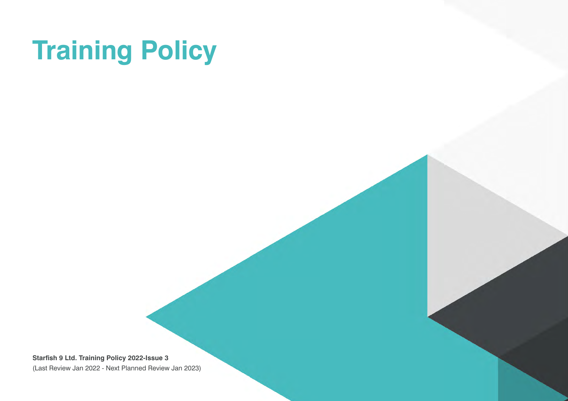# **Training Policy**

**Starfish 9 Ltd. Training Policy 2022-Issue 3** (Last Review Jan 2022 - Next Planned Review Jan 2023)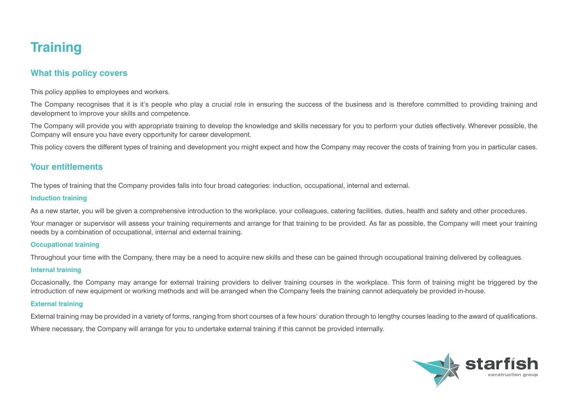# **Training**

# **What this policy covers**

This policy applies to employees and workers.

The Company recognises that it is it's people who play a crucial role in ensuring the success of the business and is therefore committed to providing training and development to improve your skills and competence.

The Company will provide you with appropriate training to develop the knowledge and skills necessary for you to perform your duties effectively. Wherever possible, the Company will ensure you have every opportunity for career development.

This policy covers the different types of training and development you might expect and how the Company may recover the costs of training from you in particular cases.

## **Your entitlements**

The types of training that the Company provides falls into four broad categories: induction, occupational, internal and external.

#### **Induction training**

As a new starter, you will be given a comprehensive introduction to the workplace, your colleagues, catering facilities, duties, health and safety and other procedures.

Your manager or supervisor will assess your training requirements and arrange for that training to be provided. As far as possible, the Company will meet your training needs by a combination of occupational, internal and external training.

#### **Occupational training**

Throughout your time with the Company, there may be a need to acquire new skills and these can be gained through occupational training delivered by colleagues.

#### **Internal training**

Occasionally, the Company may arrange for external training providers to deliver training courses in the workplace. This form of training might be triggered by the introduction of new equipment or working methods and will be arranged when the Company feels the training cannot adequately be provided in-house.

#### **External training**

External training may be provided in a variety of forms, ranging from short courses of a few hours' duration through to lengthy courses leading to the award of qualifications. Where necessary, the Company will arrange for you to undertake external training if this cannot be provided internally.